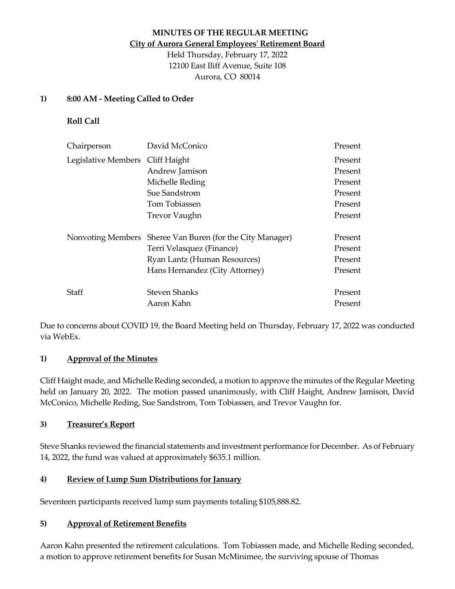# **MINUTES OF THE REGULAR MEETING City of Aurora General Employees' Retirement Board**

Held Thursday, February 17, 2022 12100 East Iliff Avenue, Suite 108 Aurora, CO 80014

### **1) 8:00 AM - Meeting Called to Order**

**Roll Call**

| Chairperson                      | David McConico                          | Present |
|----------------------------------|-----------------------------------------|---------|
| Legislative Members Cliff Haight |                                         | Present |
|                                  | Andrew Jamison                          | Present |
|                                  | Michelle Reding                         | Present |
|                                  | Sue Sandstrom                           | Present |
|                                  | Tom Tobiassen                           | Present |
|                                  | <b>Trevor Vaughn</b>                    | Present |
| Nonvoting Members                | Sheree Van Buren (for the City Manager) | Present |
|                                  | Terri Velasquez (Finance)               | Present |
|                                  | Ryan Lantz (Human Resources)            | Present |
|                                  | Hans Hernandez (City Attorney)          | Present |
| Staff                            | <b>Steven Shanks</b>                    | Present |
|                                  | Aaron Kahn                              | Present |

Due to concerns about COVID 19, the Board Meeting held on Thursday, February 17, 2022 was conducted via WebEx.

# **1) Approval of the Minutes**

Cliff Haight made, and Michelle Reding seconded, a motion to approve the minutes of the Regular Meeting held on January 20, 2022. The motion passed unanimously, with Cliff Haight, Andrew Jamison, David McConico, Michelle Reding, Sue Sandstrom, Tom Tobiassen, and Trevor Vaughn for.

# **3) Treasurer's Report**

Steve Shanks reviewed the financial statements and investment performance for December. As of February 14, 2022, the fund was valued at approximately \$635.1 million.

# **4) Review of Lump Sum Distributions for January**

Seventeen participants received lump sum payments totaling \$105,888.82.

# **5) Approval of Retirement Benefits**

Aaron Kahn presented the retirement calculations. Tom Tobiassen made, and Michelle Reding seconded, a motion to approve retirement benefits for Susan McMinimee, the surviving spouse of Thomas